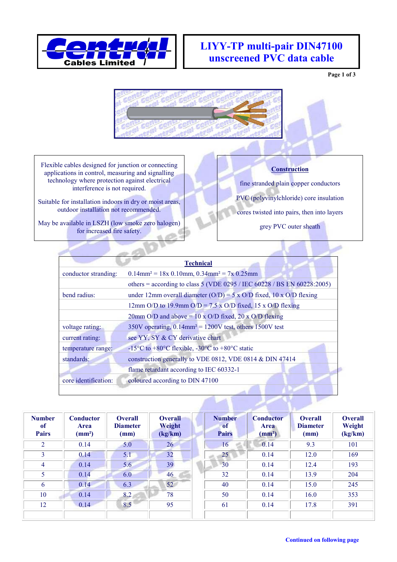

## **LIYY-TP multi-pair DIN47100 unscreened PVC data cable**

**Page 1 of 3**



Flexible cables designed for junction or connecting applications in control, measuring and signalling technology where protection against electrical interference is not required.

Suitable for installation indoors in dry or moist areas, outdoor installation not recommended.

May be available in LSZH (low smoke zero halogen) for increased fire safety.

## **Construction**

fine stranded plain copper conductors PVC (polyvinylchloride) core insulation

cores twisted into pairs, then into layers

grey PVC outer sheath

| <b>Technical</b>     |                                                                                                    |  |  |  |  |  |  |
|----------------------|----------------------------------------------------------------------------------------------------|--|--|--|--|--|--|
| conductor stranding: | $0.14$ mm <sup>2</sup> = 18x 0.10mm, 0.34mm <sup>2</sup> = 7x 0.25mm                               |  |  |  |  |  |  |
|                      | others = according to class 5 (VDE 0295 / IEC 60228 / BS EN 60228:2005)                            |  |  |  |  |  |  |
| bend radius:         | under 12mm overall diameter ( $O/D$ ) = 5 x $O/D$ fixed, 10 x $O/D$ flexing                        |  |  |  |  |  |  |
|                      | 12mm O/D to 19.9mm O/D = 7.5 x O/D fixed, 15 x O/D flexing                                         |  |  |  |  |  |  |
|                      | 20mm O/D and above = $10 \times$ O/D fixed, 20 x O/D flexing                                       |  |  |  |  |  |  |
| voltage rating:      | $350V$ operating, $0.14$ mm <sup>2</sup> = 1200V test, others 1500V test                           |  |  |  |  |  |  |
| current rating:      | see YY, SY & CY derivative chart                                                                   |  |  |  |  |  |  |
| temperature range:   | -15 <sup>o</sup> C to +80 <sup>o</sup> C flexible, -30 <sup>o</sup> C to +80 <sup>o</sup> C static |  |  |  |  |  |  |
| standards:           | construction generally to VDE 0812, VDE 0814 & DIN 47414                                           |  |  |  |  |  |  |
|                      | flame retardant according to IEC 60332-1                                                           |  |  |  |  |  |  |
| core identification: | coloured according to DIN 47100                                                                    |  |  |  |  |  |  |
|                      |                                                                                                    |  |  |  |  |  |  |

| <b>Number</b><br>of<br><b>Pairs</b> | <b>Conductor</b><br>Area<br>(mm <sup>2</sup> ) | <b>Overall</b><br><b>Diameter</b><br>(mm) | <b>Overall</b><br>Weight<br>(kg/km) | <b>Number</b><br>of<br><b>Pairs</b> | <b>Conductor</b><br><b>Area</b><br>(mm <sup>2</sup> ) | <b>Overall</b><br><b>Diameter</b><br>(mm) | <b>Overall</b><br>Weight<br>(kg/km) |
|-------------------------------------|------------------------------------------------|-------------------------------------------|-------------------------------------|-------------------------------------|-------------------------------------------------------|-------------------------------------------|-------------------------------------|
| 2                                   | 0.14                                           | 5.0                                       | 26                                  | 16                                  | 0.14                                                  | 9.3                                       | 101                                 |
| 3                                   | 0.14                                           | 5.1                                       | 32                                  | 25                                  | 0.14                                                  | 12.0                                      | 169                                 |
| 4                                   | 0.14                                           | 5.6                                       | 39                                  | 30                                  | 0.14                                                  | 12.4                                      | 193                                 |
| 5                                   | 0.14                                           | 6.0                                       | 46                                  | 32                                  | 0.14                                                  | 13.9                                      | 204                                 |
| 6                                   | 0.14                                           | 6.3                                       | 52                                  | 40                                  | 0.14                                                  | 15.0                                      | 245                                 |
| 10                                  | 0.14                                           | 8.2                                       | 78                                  | 50                                  | 0.14                                                  | 16.0                                      | 353                                 |
| 12                                  | 0.14                                           | 8.5                                       | 95                                  | 61                                  | 0.14                                                  | 17.8                                      | 391                                 |
|                                     |                                                |                                           |                                     |                                     |                                                       |                                           |                                     |